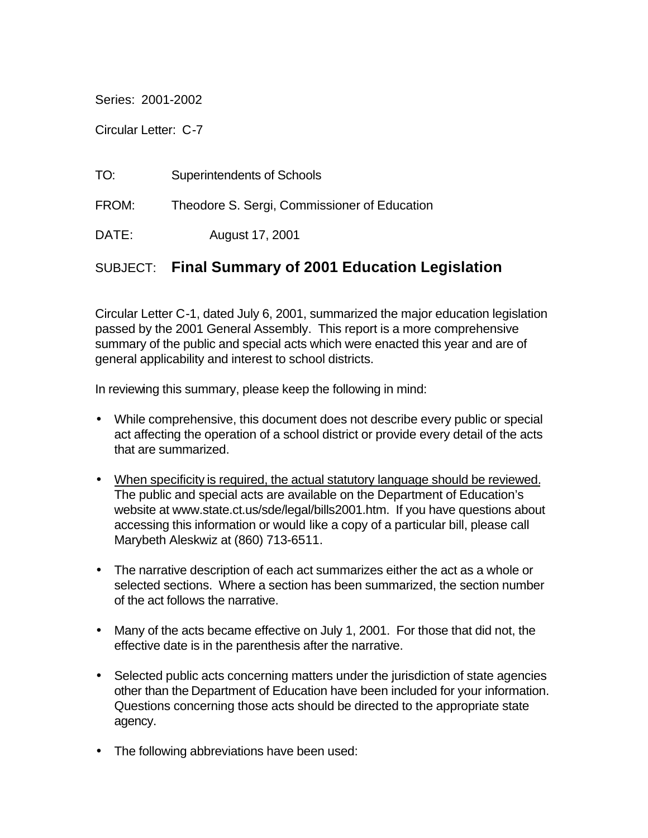Series: 2001-2002

Circular Letter: C-7

| TO:   | <b>Superintendents of Schools</b>            |
|-------|----------------------------------------------|
| FROM: | Theodore S. Sergi, Commissioner of Education |
| DATE: | August 17, 2001                              |

# SUBJECT: **Final Summary of 2001 Education Legislation**

Circular Letter C-1, dated July 6, 2001, summarized the major education legislation passed by the 2001 General Assembly. This report is a more comprehensive summary of the public and special acts which were enacted this year and are of general applicability and interest to school districts.

In reviewing this summary, please keep the following in mind:

- While comprehensive, this document does not describe every public or special act affecting the operation of a school district or provide every detail of the acts that are summarized.
- When specificity is required, the actual statutory language should be reviewed. The public and special acts are available on the Department of Education's website at www.state.ct.us/sde/legal/bills2001.htm. If you have questions about accessing this information or would like a copy of a particular bill, please call Marybeth Aleskwiz at (860) 713-6511.
- The narrative description of each act summarizes either the act as a whole or selected sections. Where a section has been summarized, the section number of the act follows the narrative.
- Many of the acts became effective on July 1, 2001. For those that did not, the effective date is in the parenthesis after the narrative.
- Selected public acts concerning matters under the jurisdiction of state agencies other than the Department of Education have been included for your information. Questions concerning those acts should be directed to the appropriate state agency.
- The following abbreviations have been used: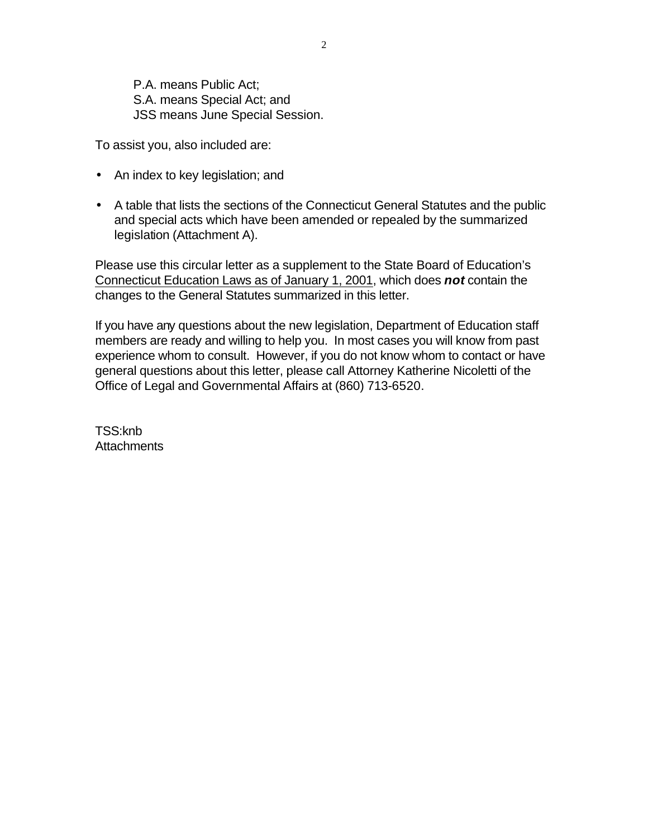P.A. means Public Act; S.A. means Special Act; and JSS means June Special Session.

To assist you, also included are:

- An index to key legislation; and
- A table that lists the sections of the Connecticut General Statutes and the public and special acts which have been amended or repealed by the summarized legislation (Attachment A).

Please use this circular letter as a supplement to the State Board of Education's Connecticut Education Laws as of January 1, 2001, which does *not* contain the changes to the General Statutes summarized in this letter.

If you have any questions about the new legislation, Department of Education staff members are ready and willing to help you. In most cases you will know from past experience whom to consult. However, if you do not know whom to contact or have general questions about this letter, please call Attorney Katherine Nicoletti of the Office of Legal and Governmental Affairs at (860) 713-6520.

TSS:knb **Attachments**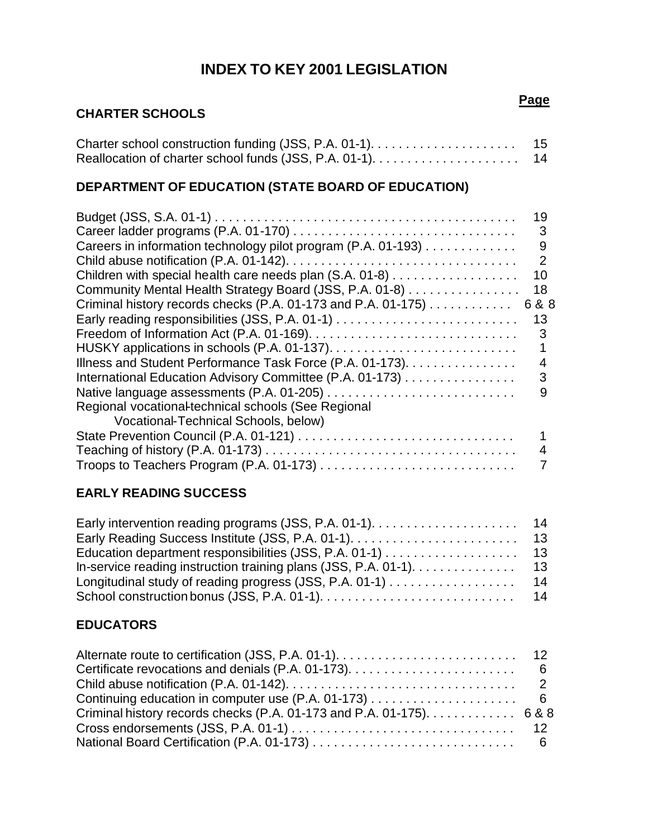# **INDEX TO KEY 2001 LEGISLATION**

## **CHARTER SCHOOLS**

| - 15 |
|------|
| - 14 |

# **DEPARTMENT OF EDUCATION (STATE BOARD OF EDUCATION)**

| Careers in information technology pilot program (P.A. 01-193) | 19<br>3<br>9 |
|---------------------------------------------------------------|--------------|
|                                                               | 2            |
| Children with special health care needs plan (S.A. 01-8)      | 10           |
| Community Mental Health Strategy Board (JSS, P.A. 01-8)       | 18           |
| Criminal history records checks (P.A. 01-173 and P.A. 01-175) | 6 & 8        |
|                                                               | 13           |
|                                                               | 3            |
|                                                               |              |
| Illness and Student Performance Task Force (P.A. 01-173).     | 4            |
| International Education Advisory Committee (P.A. 01-173)      | 3            |
|                                                               | 9            |
| Regional vocational-technical schools (See Regional           |              |
| Vocational-Technical Schools, below)                          |              |
|                                                               |              |
|                                                               | 4            |
|                                                               |              |

## **EARLY READING SUCCESS**

## **EDUCATORS**

| Criminal history records checks (P.A. 01-173 and P.A. 01-175). $\dots \dots \dots$ 6 & 8 |  |
|------------------------------------------------------------------------------------------|--|
|                                                                                          |  |
|                                                                                          |  |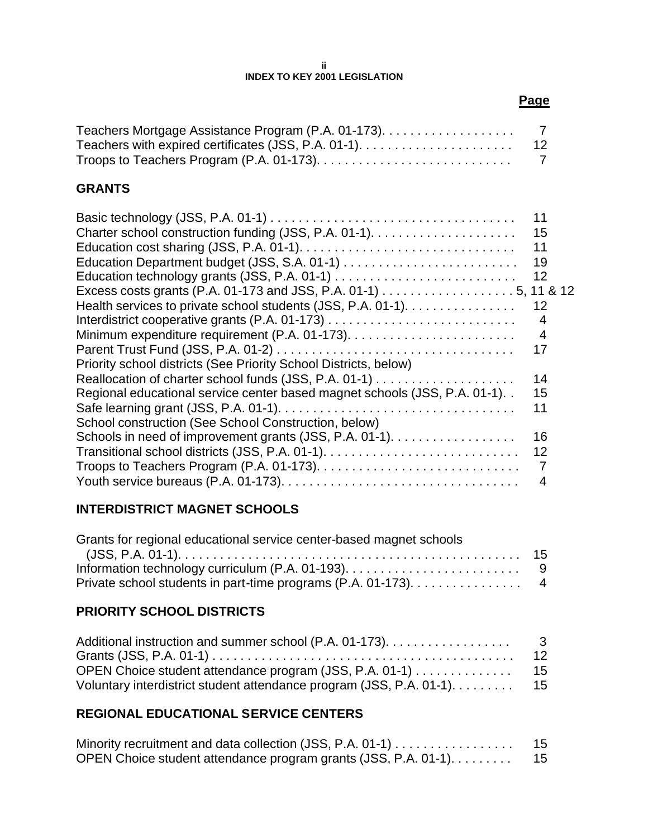#### **ii INDEX TO KEY 2001 LEGISLATION**

## **GRANTS**

| 19<br>12<br>Excess costs grants (P.A. 01-173 and JSS, P.A. 01-1) 5, 11 & 12<br>Health services to private school students (JSS, P.A. 01-1).<br>12<br>4<br>4<br>17<br>Priority school districts (See Priority School Districts, below)<br>14<br>Regional educational service center based magnet schools (JSS, P.A. 01-1)<br>15<br>11<br>School construction (See School Construction, below)<br>Schools in need of improvement grants (JSS, P.A. 01-1).<br>16<br>12<br>4 | 11<br>15<br>11 |
|--------------------------------------------------------------------------------------------------------------------------------------------------------------------------------------------------------------------------------------------------------------------------------------------------------------------------------------------------------------------------------------------------------------------------------------------------------------------------|----------------|
|                                                                                                                                                                                                                                                                                                                                                                                                                                                                          |                |
|                                                                                                                                                                                                                                                                                                                                                                                                                                                                          |                |
|                                                                                                                                                                                                                                                                                                                                                                                                                                                                          |                |
|                                                                                                                                                                                                                                                                                                                                                                                                                                                                          |                |
|                                                                                                                                                                                                                                                                                                                                                                                                                                                                          |                |
|                                                                                                                                                                                                                                                                                                                                                                                                                                                                          |                |
|                                                                                                                                                                                                                                                                                                                                                                                                                                                                          |                |
|                                                                                                                                                                                                                                                                                                                                                                                                                                                                          |                |
|                                                                                                                                                                                                                                                                                                                                                                                                                                                                          |                |
|                                                                                                                                                                                                                                                                                                                                                                                                                                                                          |                |
|                                                                                                                                                                                                                                                                                                                                                                                                                                                                          |                |
|                                                                                                                                                                                                                                                                                                                                                                                                                                                                          |                |
|                                                                                                                                                                                                                                                                                                                                                                                                                                                                          |                |
|                                                                                                                                                                                                                                                                                                                                                                                                                                                                          |                |
|                                                                                                                                                                                                                                                                                                                                                                                                                                                                          |                |
|                                                                                                                                                                                                                                                                                                                                                                                                                                                                          |                |

## **INTERDISTRICT MAGNET SCHOOLS**

| Grants for regional educational service center-based magnet schools |  |
|---------------------------------------------------------------------|--|
|                                                                     |  |
|                                                                     |  |
| Private school students in part-time programs (P.A. 01-173). 4      |  |

## **PRIORITY SCHOOL DISTRICTS**

| Additional instruction and summer school (P.A. 01-173).                 | -3 |
|-------------------------------------------------------------------------|----|
|                                                                         |    |
| OPEN Choice student attendance program (JSS, P.A. 01-1) 15              |    |
| Voluntary interdistrict student attendance program (JSS, P.A. 01-1). 15 |    |

## **REGIONAL EDUCATIONAL SERVICE CENTERS**

| Minority recruitment and data collection (JSS, P.A. 01-1)       | 15  |
|-----------------------------------------------------------------|-----|
| OPEN Choice student attendance program grants (JSS, P.A. 01-1). | -15 |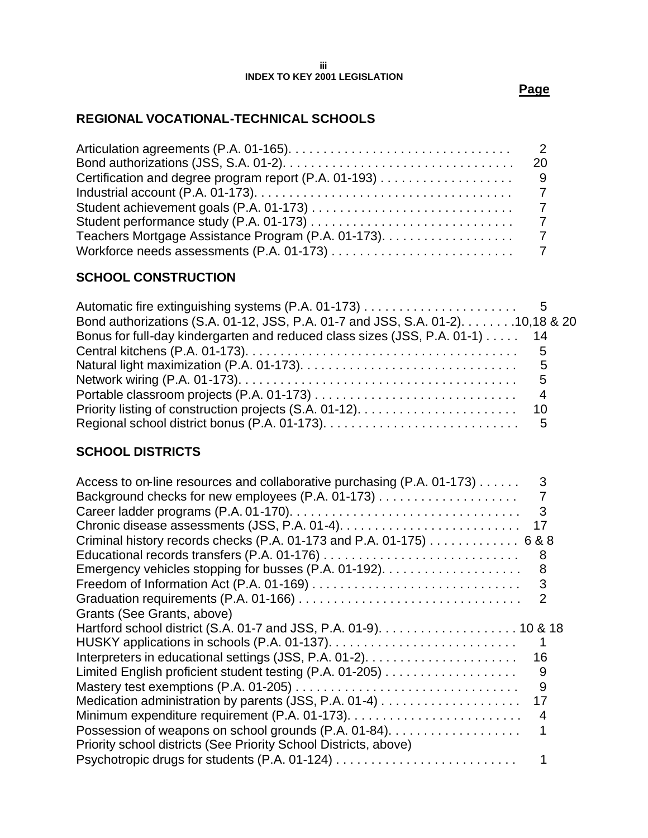#### **iii INDEX TO KEY 2001 LEGISLATION**

**Page** 

## **REGIONAL VOCATIONAL-TECHNICAL SCHOOLS**

| - 9 |
|-----|
|     |
|     |
|     |
|     |
|     |

## **SCHOOL CONSTRUCTION**

| Bond authorizations (S.A. 01-12, JSS, P.A. 01-7 and JSS, S.A. 01-2). 10,18 & 20 |  |
|---------------------------------------------------------------------------------|--|
| Bonus for full-day kindergarten and reduced class sizes (JSS, P.A. 01-1) 14     |  |
|                                                                                 |  |
|                                                                                 |  |
|                                                                                 |  |
|                                                                                 |  |
|                                                                                 |  |
|                                                                                 |  |

## **SCHOOL DISTRICTS**

| Access to on-line resources and collaborative purchasing (P.A. 01-173) | 3  |
|------------------------------------------------------------------------|----|
|                                                                        |    |
|                                                                        | 3  |
|                                                                        | 17 |
| Criminal history records checks (P.A. 01-173 and P.A. 01-175) 6 & 8    |    |
|                                                                        | 8  |
|                                                                        | 8  |
|                                                                        | 3  |
|                                                                        |    |
| Grants (See Grants, above)                                             |    |
|                                                                        |    |
|                                                                        |    |
|                                                                        | 16 |
|                                                                        | 9  |
|                                                                        | 9  |
|                                                                        | 17 |
|                                                                        | 4  |
| Possession of weapons on school grounds (P.A. 01-84).                  |    |
| Priority school districts (See Priority School Districts, above)       |    |
|                                                                        |    |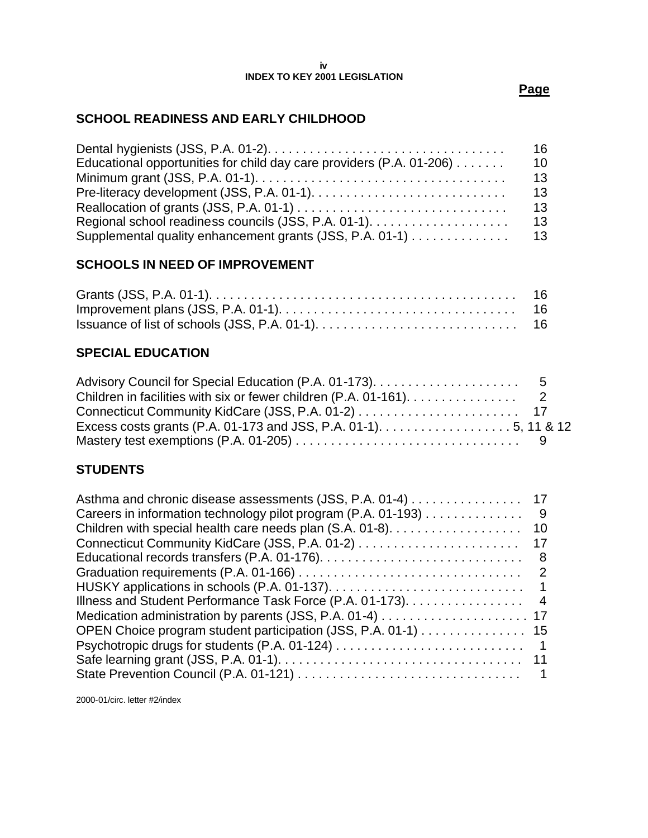#### **iv INDEX TO KEY 2001 LEGISLATION**

#### **Page**

## **SCHOOL READINESS AND EARLY CHILDHOOD**

|                                                                      | 16  |
|----------------------------------------------------------------------|-----|
| Educational opportunities for child day care providers (P.A. 01-206) | 10  |
|                                                                      | 13  |
|                                                                      | 13  |
|                                                                      | 13  |
|                                                                      | 13  |
| Supplemental quality enhancement grants (JSS, P.A. 01-1)             | -13 |

## **SCHOOLS IN NEED OF IMPROVEMENT**

## **SPECIAL EDUCATION**

| Children in facilities with six or fewer children (P.A. 01-161). 2 |  |
|--------------------------------------------------------------------|--|
|                                                                    |  |
|                                                                    |  |
|                                                                    |  |

## **STUDENTS**

| Asthma and chronic disease assessments (JSS, P.A. 01-4)       | 17             |
|---------------------------------------------------------------|----------------|
| Careers in information technology pilot program (P.A. 01-193) | 9              |
|                                                               | 10             |
|                                                               | -17            |
|                                                               | 8              |
|                                                               | 2              |
|                                                               |                |
| Illness and Student Performance Task Force (P.A. 01-173).     | $\overline{4}$ |
|                                                               |                |
| OPEN Choice program student participation (JSS, P.A. 01-1) 15 |                |
|                                                               | $\overline{1}$ |
|                                                               |                |
|                                                               |                |
|                                                               |                |

2000-01/circ. letter #2/index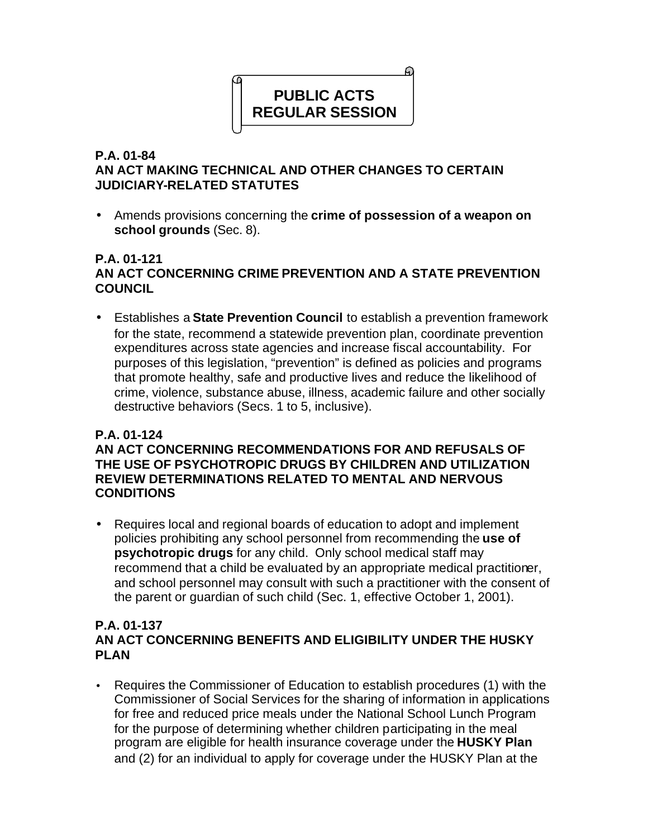# ଇ **PUBLIC ACTS REGULAR SESSION**

## **P.A. 01-84 AN ACT MAKING TECHNICAL AND OTHER CHANGES TO CERTAIN JUDICIARY-RELATED STATUTES**

• Amends provisions concerning the **crime of possession of a weapon on school grounds** (Sec. 8).

## **P.A. 01-121 AN ACT CONCERNING CRIME PREVENTION AND A STATE PREVENTION COUNCIL**

• Establishes a **State Prevention Council** to establish a prevention framework for the state, recommend a statewide prevention plan, coordinate prevention expenditures across state agencies and increase fiscal accountability. For purposes of this legislation, "prevention" is defined as policies and programs that promote healthy, safe and productive lives and reduce the likelihood of crime, violence, substance abuse, illness, academic failure and other socially destructive behaviors (Secs. 1 to 5, inclusive).

## **P.A. 01-124**

## **AN ACT CONCERNING RECOMMENDATIONS FOR AND REFUSALS OF THE USE OF PSYCHOTROPIC DRUGS BY CHILDREN AND UTILIZATION REVIEW DETERMINATIONS RELATED TO MENTAL AND NERVOUS CONDITIONS**

• Requires local and regional boards of education to adopt and implement policies prohibiting any school personnel from recommending the **use of psychotropic drugs** for any child. Only school medical staff may recommend that a child be evaluated by an appropriate medical practitioner, and school personnel may consult with such a practitioner with the consent of the parent or guardian of such child (Sec. 1, effective October 1, 2001).

#### **P.A. 01-137 AN ACT CONCERNING BENEFITS AND ELIGIBILITY UNDER THE HUSKY PLAN**

• Requires the Commissioner of Education to establish procedures (1) with the Commissioner of Social Services for the sharing of information in applications for free and reduced price meals under the National School Lunch Program for the purpose of determining whether children participating in the meal program are eligible for health insurance coverage under the **HUSKY Plan**  and (2) for an individual to apply for coverage under the HUSKY Plan at the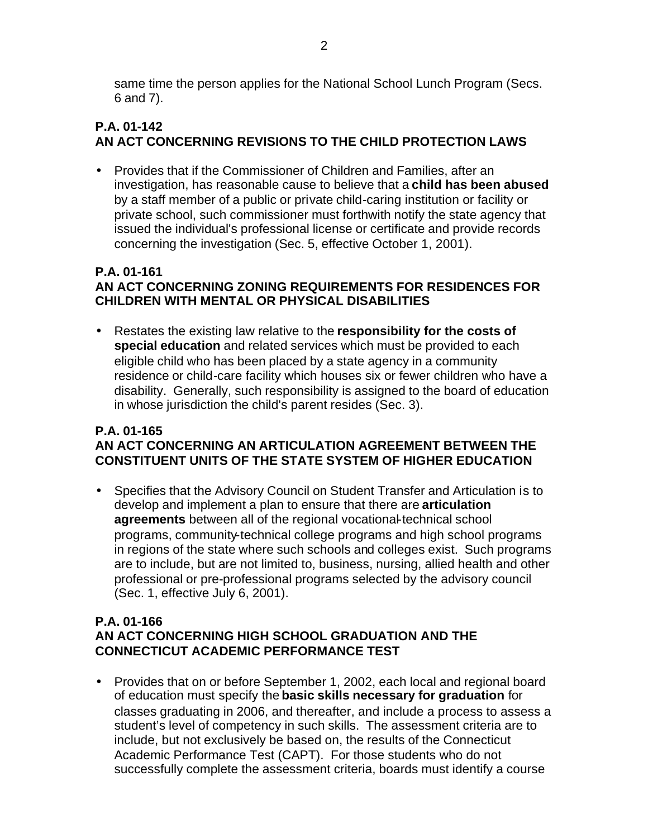same time the person applies for the National School Lunch Program (Secs. 6 and 7).

## **P.A. 01-142 AN ACT CONCERNING REVISIONS TO THE CHILD PROTECTION LAWS**

• Provides that if the Commissioner of Children and Families, after an investigation, has reasonable cause to believe that a **child has been abused**  by a staff member of a public or private child-caring institution or facility or private school, such commissioner must forthwith notify the state agency that issued the individual's professional license or certificate and provide records concerning the investigation (Sec. 5, effective October 1, 2001).

## **P.A. 01-161 AN ACT CONCERNING ZONING REQUIREMENTS FOR RESIDENCES FOR CHILDREN WITH MENTAL OR PHYSICAL DISABILITIES**

• Restates the existing law relative to the **responsibility for the costs of special education** and related services which must be provided to each eligible child who has been placed by a state agency in a community residence or child-care facility which houses six or fewer children who have a disability. Generally, such responsibility is assigned to the board of education in whose jurisdiction the child's parent resides (Sec. 3).

## **P.A. 01-165 AN ACT CONCERNING AN ARTICULATION AGREEMENT BETWEEN THE CONSTITUENT UNITS OF THE STATE SYSTEM OF HIGHER EDUCATION**

• Specifies that the Advisory Council on Student Transfer and Articulation is to develop and implement a plan to ensure that there are **articulation agreements** between all of the regional vocational-technical school programs, community-technical college programs and high school programs in regions of the state where such schools and colleges exist. Such programs are to include, but are not limited to, business, nursing, allied health and other professional or pre-professional programs selected by the advisory council (Sec. 1, effective July 6, 2001).

#### **P.A. 01-166 AN ACT CONCERNING HIGH SCHOOL GRADUATION AND THE CONNECTICUT ACADEMIC PERFORMANCE TEST**

• Provides that on or before September 1, 2002, each local and regional board of education must specify the **basic skills necessary for graduation** for classes graduating in 2006, and thereafter, and include a process to assess a student's level of competency in such skills. The assessment criteria are to include, but not exclusively be based on, the results of the Connecticut Academic Performance Test (CAPT). For those students who do not successfully complete the assessment criteria, boards must identify a course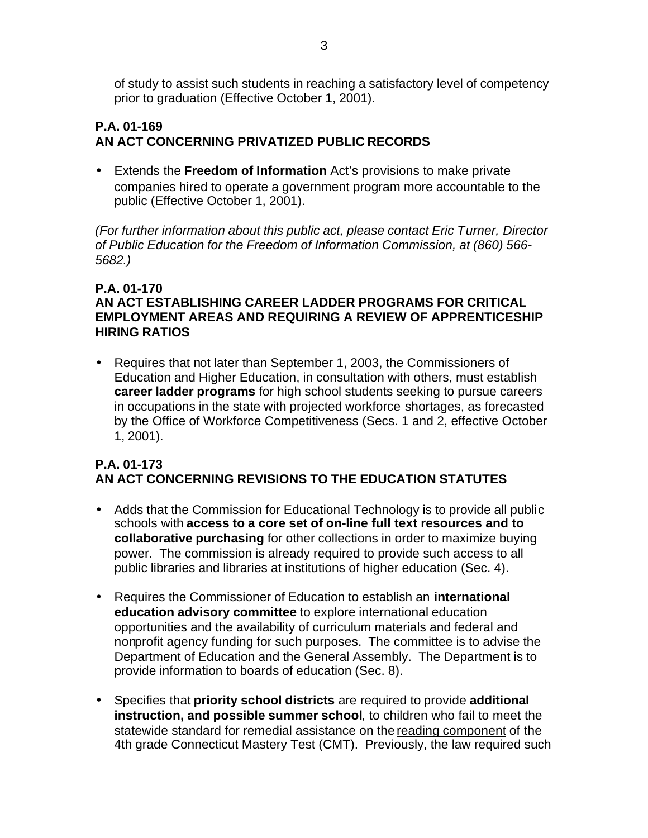of study to assist such students in reaching a satisfactory level of competency prior to graduation (Effective October 1, 2001).

## **P.A. 01-169 AN ACT CONCERNING PRIVATIZED PUBLIC RECORDS**

• Extends the **Freedom of Information** Act's provisions to make private companies hired to operate a government program more accountable to the public (Effective October 1, 2001).

*(For further information about this public act, please contact Eric Turner, Director of Public Education for the Freedom of Information Commission, at (860) 566- 5682.)* 

## **P.A. 01-170**

## **AN ACT ESTABLISHING CAREER LADDER PROGRAMS FOR CRITICAL EMPLOYMENT AREAS AND REQUIRING A REVIEW OF APPRENTICESHIP HIRING RATIOS**

• Requires that not later than September 1, 2003, the Commissioners of Education and Higher Education, in consultation with others, must establish **career ladder programs** for high school students seeking to pursue careers in occupations in the state with projected workforce shortages, as forecasted by the Office of Workforce Competitiveness (Secs. 1 and 2, effective October 1, 2001).

## **P.A. 01-173 AN ACT CONCERNING REVISIONS TO THE EDUCATION STATUTES**

- Adds that the Commission for Educational Technology is to provide all public schools with **access to a core set of on-line full text resources and to collaborative purchasing** for other collections in order to maximize buying power. The commission is already required to provide such access to all public libraries and libraries at institutions of higher education (Sec. 4).
- Requires the Commissioner of Education to establish an **international education advisory committee** to explore international education opportunities and the availability of curriculum materials and federal and nonprofit agency funding for such purposes. The committee is to advise the Department of Education and the General Assembly. The Department is to provide information to boards of education (Sec. 8).
- Specifies that **priority school districts** are required to provide **additional instruction, and possible summer school**, to children who fail to meet the statewide standard for remedial assistance on the reading component of the 4th grade Connecticut Mastery Test (CMT). Previously, the law required such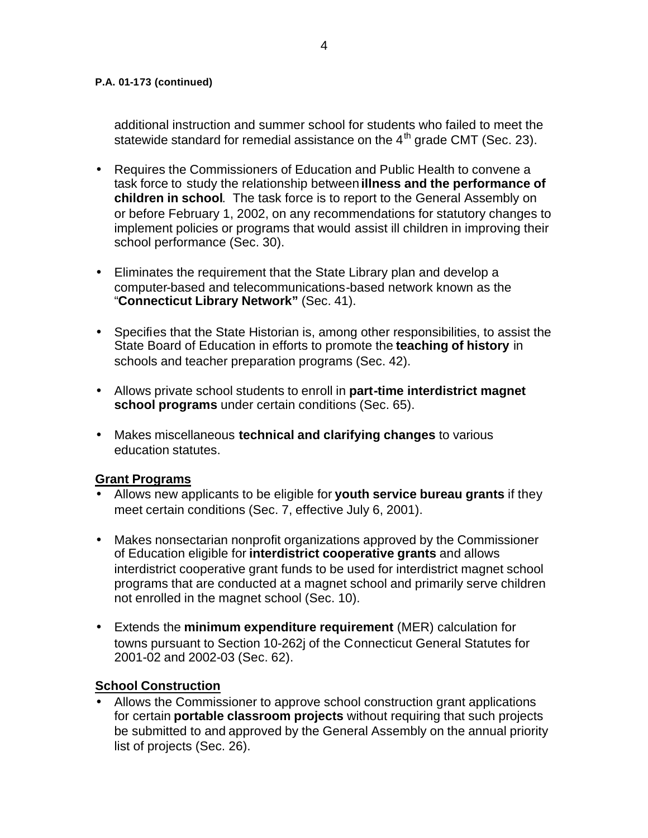additional instruction and summer school for students who failed to meet the statewide standard for remedial assistance on the  $4<sup>th</sup>$  grade CMT (Sec. 23).

- Requires the Commissioners of Education and Public Health to convene a task force to study the relationship between **illness and the performance of children in school**. The task force is to report to the General Assembly on or before February 1, 2002, on any recommendations for statutory changes to implement policies or programs that would assist ill children in improving their school performance (Sec. 30).
- Eliminates the requirement that the State Library plan and develop a computer-based and telecommunications-based network known as the "**Connecticut Library Network"** (Sec. 41).
- Specifies that the State Historian is, among other responsibilities, to assist the State Board of Education in efforts to promote the **teaching of history** in schools and teacher preparation programs (Sec. 42).
- Allows private school students to enroll in **part-time interdistrict magnet school programs** under certain conditions (Sec. 65).
- Makes miscellaneous **technical and clarifying changes** to various education statutes.

#### **Grant Programs**

- Allows new applicants to be eligible for **youth service bureau grants** if they meet certain conditions (Sec. 7, effective July 6, 2001).
- Makes nonsectarian nonprofit organizations approved by the Commissioner of Education eligible for **interdistrict cooperative grants** and allows interdistrict cooperative grant funds to be used for interdistrict magnet school programs that are conducted at a magnet school and primarily serve children not enrolled in the magnet school (Sec. 10).
- Extends the **minimum expenditure requirement** (MER) calculation for towns pursuant to Section 10-262j of the Connecticut General Statutes for 2001-02 and 2002-03 (Sec. 62).

#### **School Construction**

• Allows the Commissioner to approve school construction grant applications for certain **portable classroom projects** without requiring that such projects be submitted to and approved by the General Assembly on the annual priority list of projects (Sec. 26).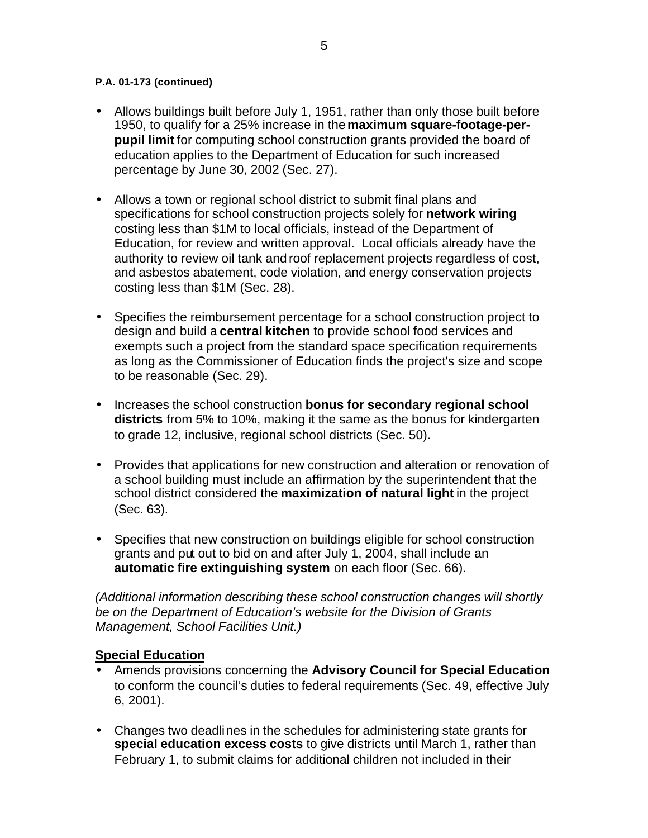- Allows buildings built before July 1, 1951, rather than only those built before 1950, to qualify for a 25% increase in the **maximum square-footage-perpupil limit** for computing school construction grants provided the board of education applies to the Department of Education for such increased percentage by June 30, 2002 (Sec. 27).
- Allows a town or regional school district to submit final plans and specifications for school construction projects solely for **network wiring**  costing less than \$1M to local officials, instead of the Department of Education, for review and written approval. Local officials already have the authority to review oil tank and roof replacement projects regardless of cost, and asbestos abatement, code violation, and energy conservation projects costing less than \$1M (Sec. 28).
- Specifies the reimbursement percentage for a school construction project to design and build a **central kitchen** to provide school food services and exempts such a project from the standard space specification requirements as long as the Commissioner of Education finds the project's size and scope to be reasonable (Sec. 29).
- Increases the school construction **bonus for secondary regional school districts** from 5% to 10%, making it the same as the bonus for kindergarten to grade 12, inclusive, regional school districts (Sec. 50).
- Provides that applications for new construction and alteration or renovation of a school building must include an affirmation by the superintendent that the school district considered the **maximization of natural light** in the project (Sec. 63).
- Specifies that new construction on buildings eligible for school construction grants and put out to bid on and after July 1, 2004, shall include an **automatic fire extinguishing system** on each floor (Sec. 66).

*(Additional information describing these school construction changes will shortly be on the Department of Education's website for the Division of Grants Management, School Facilities Unit.)* 

#### **Special Education**

- Amends provisions concerning the **Advisory Council for Special Education**  to conform the council's duties to federal requirements (Sec. 49, effective July 6, 2001).
- Changes two deadlines in the schedules for administering state grants for **special education excess costs** to give districts until March 1, rather than February 1, to submit claims for additional children not included in their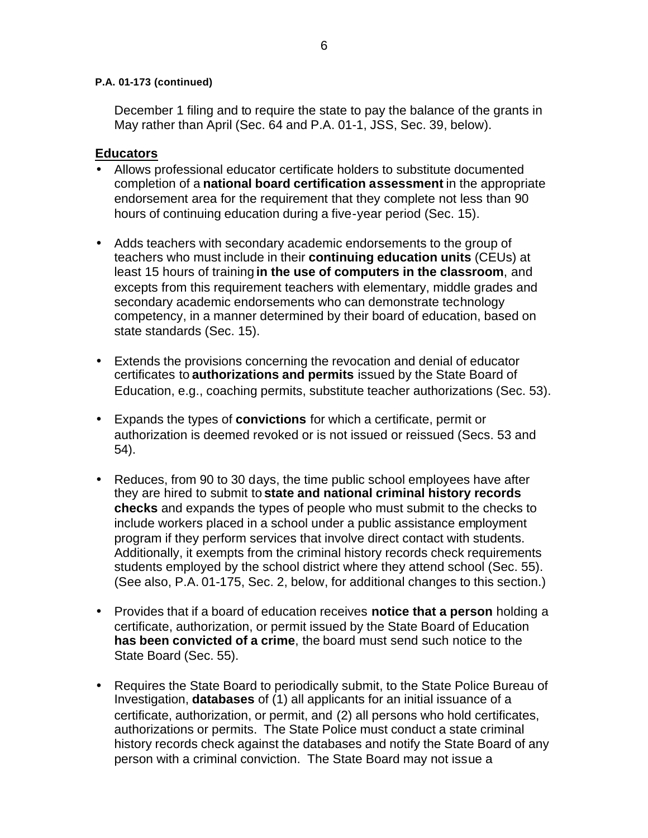December 1 filing and to require the state to pay the balance of the grants in May rather than April (Sec. 64 and P.A. 01-1, JSS, Sec. 39, below).

#### **Educators**

- Allows professional educator certificate holders to substitute documented completion of a **national board certification assessment** in the appropriate endorsement area for the requirement that they complete not less than 90 hours of continuing education during a five-year period (Sec. 15).
- Adds teachers with secondary academic endorsements to the group of teachers who must include in their **continuing education units** (CEUs) at least 15 hours of training **in the use of computers in the classroom**, and excepts from this requirement teachers with elementary, middle grades and secondary academic endorsements who can demonstrate technology competency, in a manner determined by their board of education, based on state standards (Sec. 15).
- Extends the provisions concerning the revocation and denial of educator certificates to **authorizations and permits** issued by the State Board of Education, e.g., coaching permits, substitute teacher authorizations (Sec. 53).
- Expands the types of **convictions** for which a certificate, permit or authorization is deemed revoked or is not issued or reissued (Secs. 53 and 54).
- Reduces, from 90 to 30 days, the time public school employees have after they are hired to submit to **state and national criminal history records checks** and expands the types of people who must submit to the checks to include workers placed in a school under a public assistance employment program if they perform services that involve direct contact with students. Additionally, it exempts from the criminal history records check requirements students employed by the school district where they attend school (Sec. 55). (See also, P.A. 01-175, Sec. 2, below, for additional changes to this section.)
- Provides that if a board of education receives **notice that a person** holding a certificate, authorization, or permit issued by the State Board of Education **has been convicted of a crime**, the board must send such notice to the State Board (Sec. 55).
- Requires the State Board to periodically submit, to the State Police Bureau of Investigation, **databases** of (1) all applicants for an initial issuance of a certificate, authorization, or permit, and (2) all persons who hold certificates, authorizations or permits. The State Police must conduct a state criminal history records check against the databases and notify the State Board of any person with a criminal conviction. The State Board may not issue a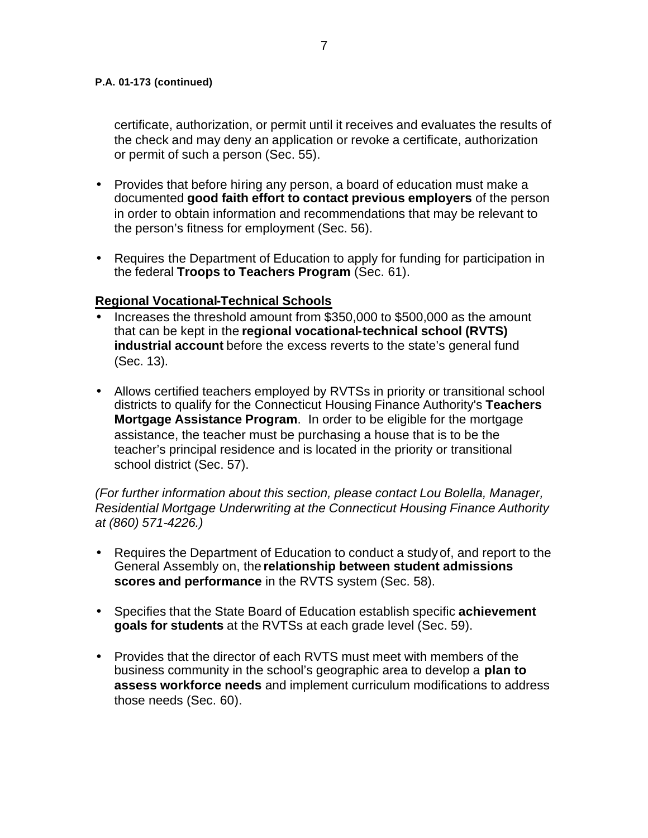certificate, authorization, or permit until it receives and evaluates the results of the check and may deny an application or revoke a certificate, authorization or permit of such a person (Sec. 55).

- Provides that before hiring any person, a board of education must make a documented **good faith effort to contact previous employers** of the person in order to obtain information and recommendations that may be relevant to the person's fitness for employment (Sec. 56).
- Requires the Department of Education to apply for funding for participation in the federal **Troops to Teachers Program** (Sec. 61).

## **Regional Vocational-Technical Schools**

- Increases the threshold amount from \$350,000 to \$500,000 as the amount that can be kept in the **regional vocational-technical school (RVTS) industrial account** before the excess reverts to the state's general fund (Sec. 13).
- Allows certified teachers employed by RVTSs in priority or transitional school districts to qualify for the Connecticut Housing Finance Authority's **Teachers Mortgage Assistance Program**. In order to be eligible for the mortgage assistance, the teacher must be purchasing a house that is to be the teacher's principal residence and is located in the priority or transitional school district (Sec. 57).

*(For further information about this section, please contact Lou Bolella, Manager, Residential Mortgage Underwriting at the Connecticut Housing Finance Authority at (860) 571-4226.)* 

- Requires the Department of Education to conduct a study of, and report to the General Assembly on, the **relationship between student admissions scores and performance** in the RVTS system (Sec. 58).
- Specifies that the State Board of Education establish specific **achievement goals for students** at the RVTSs at each grade level (Sec. 59).
- Provides that the director of each RVTS must meet with members of the business community in the school's geographic area to develop a **plan to assess workforce needs** and implement curriculum modifications to address those needs (Sec. 60).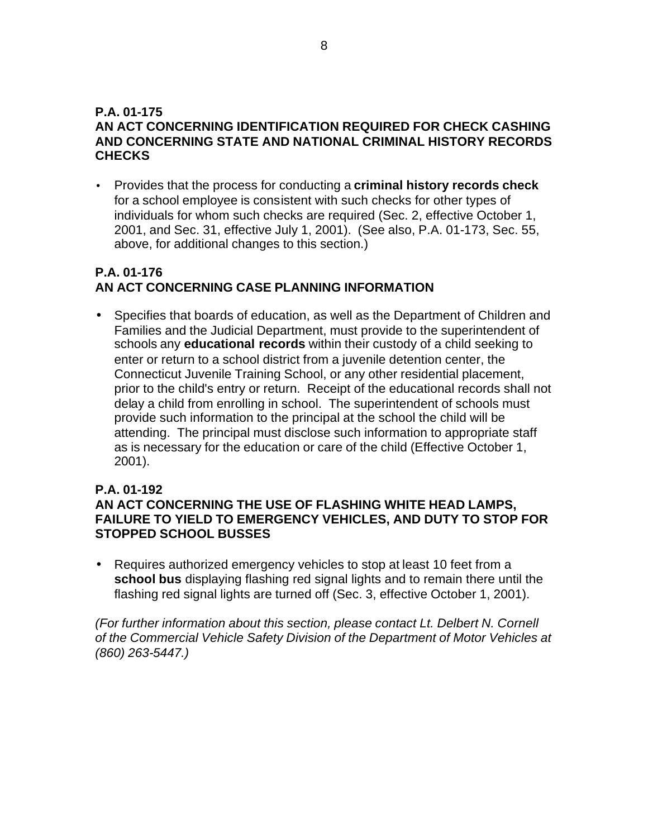#### **P.A. 01-175 AN ACT CONCERNING IDENTIFICATION REQUIRED FOR CHECK CASHING AND CONCERNING STATE AND NATIONAL CRIMINAL HISTORY RECORDS CHECKS**

• Provides that the process for conducting a **criminal history records check**  for a school employee is consistent with such checks for other types of individuals for whom such checks are required (Sec. 2, effective October 1, 2001, and Sec. 31, effective July 1, 2001). (See also, P.A. 01-173, Sec. 55, above, for additional changes to this section.)

## **P.A. 01-176 AN ACT CONCERNING CASE PLANNING INFORMATION**

• Specifies that boards of education, as well as the Department of Children and Families and the Judicial Department, must provide to the superintendent of schools any **educational records** within their custody of a child seeking to enter or return to a school district from a juvenile detention center, the Connecticut Juvenile Training School, or any other residential placement, prior to the child's entry or return. Receipt of the educational records shall not delay a child from enrolling in school. The superintendent of schools must provide such information to the principal at the school the child will be attending. The principal must disclose such information to appropriate staff as is necessary for the education or care of the child (Effective October 1, 2001).

## **P.A. 01-192**

## **AN ACT CONCERNING THE USE OF FLASHING WHITE HEAD LAMPS, FAILURE TO YIELD TO EMERGENCY VEHICLES, AND DUTY TO STOP FOR STOPPED SCHOOL BUSSES**

• Requires authorized emergency vehicles to stop at least 10 feet from a **school bus** displaying flashing red signal lights and to remain there until the flashing red signal lights are turned off (Sec. 3, effective October 1, 2001).

*(For further information about this section, please contact Lt. Delbert N. Cornell of the Commercial Vehicle Safety Division of the Department of Motor Vehicles at (860) 263-5447.)*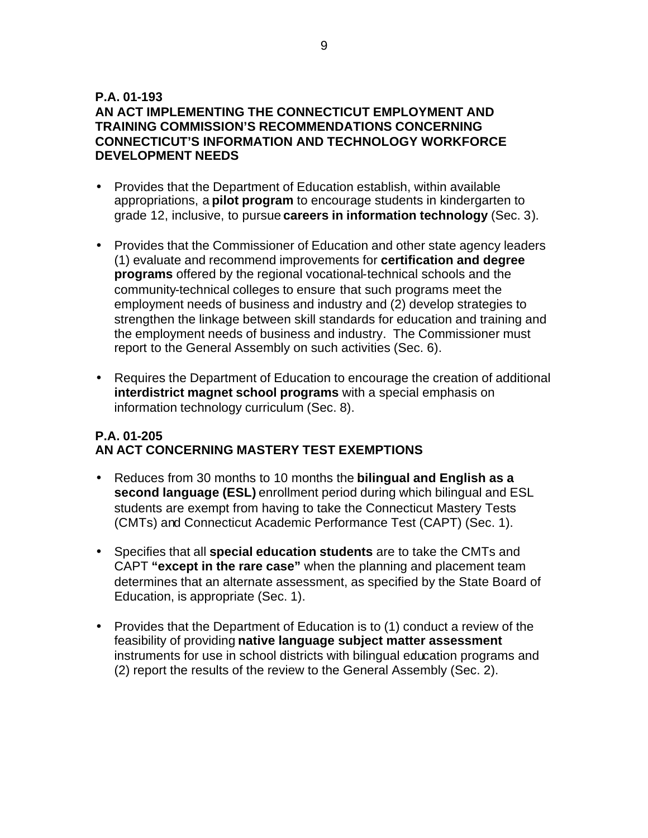## **P.A. 01-193**

## **AN ACT IMPLEMENTING THE CONNECTICUT EMPLOYMENT AND TRAINING COMMISSION'S RECOMMENDATIONS CONCERNING CONNECTICUT'S INFORMATION AND TECHNOLOGY WORKFORCE DEVELOPMENT NEEDS**

- Provides that the Department of Education establish, within available appropriations, a **pilot program** to encourage students in kindergarten to grade 12, inclusive, to pursue **careers in information technology** (Sec. 3).
- Provides that the Commissioner of Education and other state agency leaders (1) evaluate and recommend improvements for **certification and degree programs** offered by the regional vocational-technical schools and the community-technical colleges to ensure that such programs meet the employment needs of business and industry and (2) develop strategies to strengthen the linkage between skill standards for education and training and the employment needs of business and industry. The Commissioner must report to the General Assembly on such activities (Sec. 6).
- Requires the Department of Education to encourage the creation of additional **interdistrict magnet school programs** with a special emphasis on information technology curriculum (Sec. 8).

## **P.A. 01-205 AN ACT CONCERNING MASTERY TEST EXEMPTIONS**

- Reduces from 30 months to 10 months the **bilingual and English as a second language (ESL)** enrollment period during which bilingual and ESL students are exempt from having to take the Connecticut Mastery Tests (CMTs) and Connecticut Academic Performance Test (CAPT) (Sec. 1).
- Specifies that all **special education students** are to take the CMTs and CAPT **"except in the rare case"** when the planning and placement team determines that an alternate assessment, as specified by the State Board of Education, is appropriate (Sec. 1).
- Provides that the Department of Education is to (1) conduct a review of the feasibility of providing **native language subject matter assessment**  instruments for use in school districts with bilingual education programs and (2) report the results of the review to the General Assembly (Sec. 2).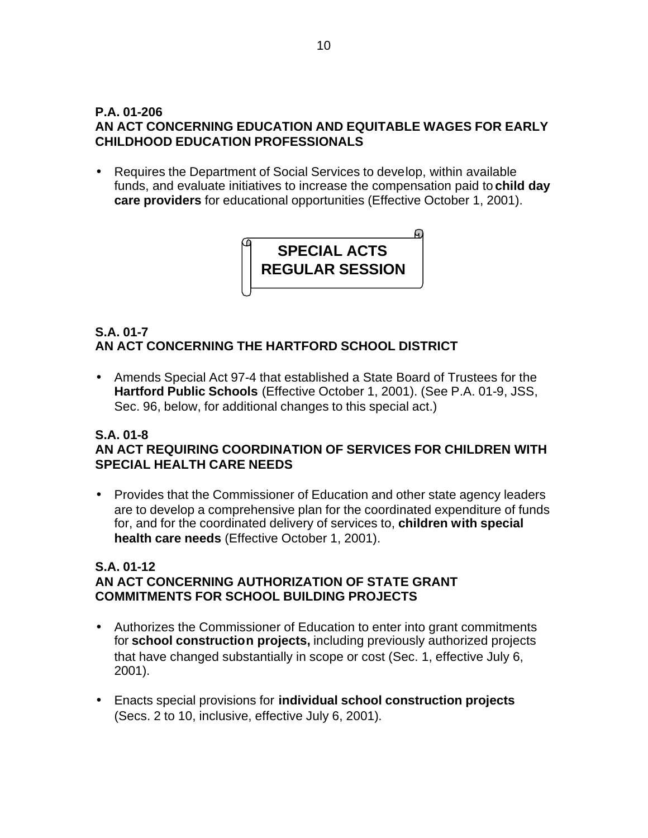## **P.A. 01-206 AN ACT CONCERNING EDUCATION AND EQUITABLE WAGES FOR EARLY CHILDHOOD EDUCATION PROFESSIONALS**

• Requires the Department of Social Services to develop, within available funds, and evaluate initiatives to increase the compensation paid to **child day care providers** for educational opportunities (Effective October 1, 2001).

> ഩ **SPECIAL ACTS REGULAR SESSION**

## **S.A. 01-7 AN ACT CONCERNING THE HARTFORD SCHOOL DISTRICT**

• Amends Special Act 97-4 that established a State Board of Trustees for the **Hartford Public Schools** (Effective October 1, 2001). (See P.A. 01-9, JSS, Sec. 96, below, for additional changes to this special act.)

#### **S.A. 01-8 AN ACT REQUIRING COORDINATION OF SERVICES FOR CHILDREN WITH SPECIAL HEALTH CARE NEEDS**

• Provides that the Commissioner of Education and other state agency leaders are to develop a comprehensive plan for the coordinated expenditure of funds for, and for the coordinated delivery of services to, **children with special health care needs** (Effective October 1, 2001).

## **S.A. 01-12 AN ACT CONCERNING AUTHORIZATION OF STATE GRANT COMMITMENTS FOR SCHOOL BUILDING PROJECTS**

- Authorizes the Commissioner of Education to enter into grant commitments for **school construction projects,** including previously authorized projects that have changed substantially in scope or cost (Sec. 1, effective July 6, 2001).
- Enacts special provisions for **individual school construction projects**  (Secs. 2 to 10, inclusive, effective July 6, 2001).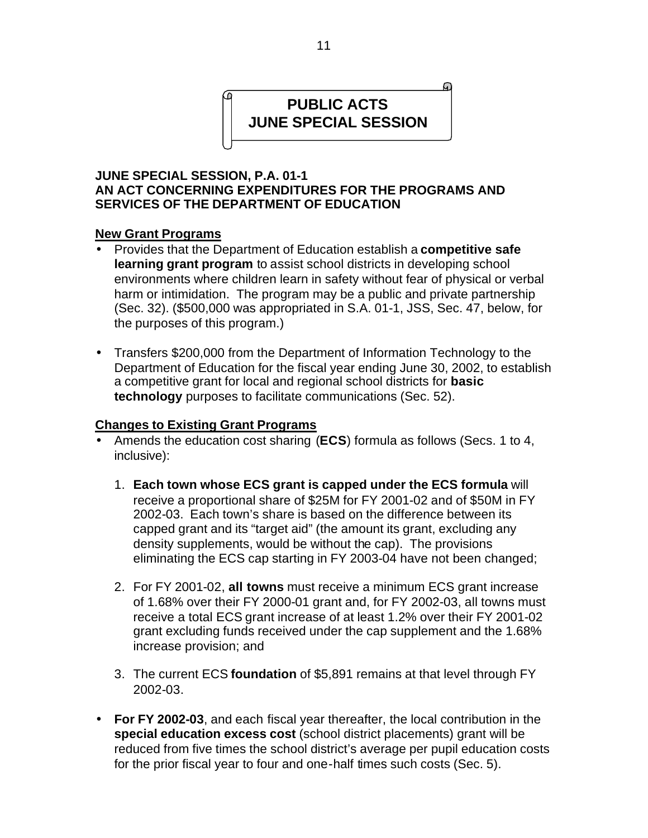# **PUBLIC ACTS JUNE SPECIAL SESSION**

#### **JUNE SPECIAL SESSION, P.A. 01-1 AN ACT CONCERNING EXPENDITURES FOR THE PROGRAMS AND SERVICES OF THE DEPARTMENT OF EDUCATION**

#### **New Grant Programs**

- Provides that the Department of Education establish a **competitive safe learning grant program** to assist school districts in developing school environments where children learn in safety without fear of physical or verbal harm or intimidation. The program may be a public and private partnership (Sec. 32). (\$500,000 was appropriated in S.A. 01-1, JSS, Sec. 47, below, for the purposes of this program.)
- Transfers \$200,000 from the Department of Information Technology to the Department of Education for the fiscal year ending June 30, 2002, to establish a competitive grant for local and regional school districts for **basic technology** purposes to facilitate communications (Sec. 52).

#### **Changes to Existing Grant Programs**

- Amends the education cost sharing (**ECS**) formula as follows (Secs. 1 to 4, inclusive):
	- 1. **Each town whose ECS grant is capped under the ECS formula** will receive a proportional share of \$25M for FY 2001-02 and of \$50M in FY 2002-03. Each town's share is based on the difference between its capped grant and its "target aid" (the amount its grant, excluding any density supplements, would be without the cap). The provisions eliminating the ECS cap starting in FY 2003-04 have not been changed;
	- 2. For FY 2001-02, **all towns** must receive a minimum ECS grant increase of 1.68% over their FY 2000-01 grant and, for FY 2002-03, all towns must receive a total ECS grant increase of at least 1.2% over their FY 2001-02 grant excluding funds received under the cap supplement and the 1.68% increase provision; and
	- 3. The current ECS **foundation** of \$5,891 remains at that level through FY 2002-03.
- **For FY 2002-03**, and each fiscal year thereafter, the local contribution in the **special education excess cost** (school district placements) grant will be reduced from five times the school district's average per pupil education costs for the prior fiscal year to four and one-half times such costs (Sec. 5).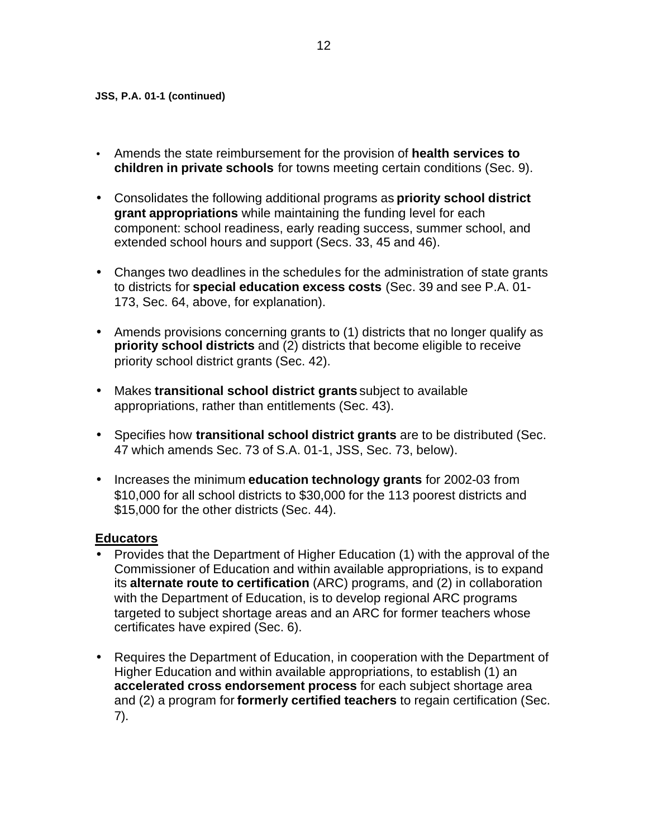- Amends the state reimbursement for the provision of **health services to children in private schools** for towns meeting certain conditions (Sec. 9).
- Consolidates the following additional programs as **priority school district grant appropriations** while maintaining the funding level for each component: school readiness, early reading success, summer school, and extended school hours and support (Secs. 33, 45 and 46).
- Changes two deadlines in the schedules for the administration of state grants to districts for **special education excess costs** (Sec. 39 and see P.A. 01- 173, Sec. 64, above, for explanation).
- Amends provisions concerning grants to (1) districts that no longer qualify as **priority school districts** and (2) districts that become eligible to receive priority school district grants (Sec. 42).
- Makes **transitional school district grants** subject to available appropriations, rather than entitlements (Sec. 43).
- Specifies how **transitional school district grants** are to be distributed (Sec. 47 which amends Sec. 73 of S.A. 01-1, JSS, Sec. 73, below).
- Increases the minimum **education technology grants** for 2002-03 from \$10,000 for all school districts to \$30,000 for the 113 poorest districts and \$15,000 for the other districts (Sec. 44).

#### **Educators**

- Provides that the Department of Higher Education (1) with the approval of the Commissioner of Education and within available appropriations, is to expand its **alternate route to certification** (ARC) programs, and (2) in collaboration with the Department of Education, is to develop regional ARC programs targeted to subject shortage areas and an ARC for former teachers whose certificates have expired (Sec. 6).
- Requires the Department of Education, in cooperation with the Department of Higher Education and within available appropriations, to establish (1) an **accelerated cross endorsement process** for each subject shortage area and (2) a program for **formerly certified teachers** to regain certification (Sec. 7).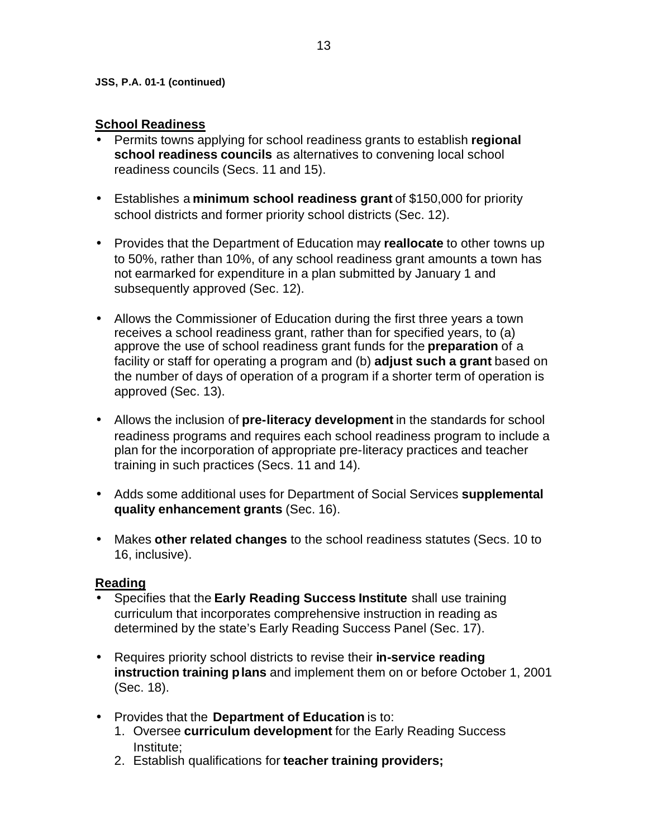#### **School Readiness**

- Permits towns applying for school readiness grants to establish **regional school readiness councils** as alternatives to convening local school readiness councils (Secs. 11 and 15).
- Establishes a **minimum school readiness grant** of \$150,000 for priority school districts and former priority school districts (Sec. 12).
- Provides that the Department of Education may **reallocate** to other towns up to 50%, rather than 10%, of any school readiness grant amounts a town has not earmarked for expenditure in a plan submitted by January 1 and subsequently approved (Sec. 12).
- Allows the Commissioner of Education during the first three years a town receives a school readiness grant, rather than for specified years, to (a) approve the use of school readiness grant funds for the **preparation** of a facility or staff for operating a program and (b) **adjust such a grant** based on the number of days of operation of a program if a shorter term of operation is approved (Sec. 13).
- Allows the inclusion of **pre-literacy development** in the standards for school readiness programs and requires each school readiness program to include a plan for the incorporation of appropriate pre-literacy practices and teacher training in such practices (Secs. 11 and 14).
- Adds some additional uses for Department of Social Services **supplemental quality enhancement grants** (Sec. 16).
- Makes **other related changes** to the school readiness statutes (Secs. 10 to 16, inclusive).

#### **Reading**

- Specifies that the **Early Reading Success Institute** shall use training curriculum that incorporates comprehensive instruction in reading as determined by the state's Early Reading Success Panel (Sec. 17).
- Requires priority school districts to revise their **in-service reading instruction training plans** and implement them on or before October 1, 2001 (Sec. 18).
- Provides that the **Department of Education** is to:
	- 1. Oversee **curriculum development** for the Early Reading Success Institute;
	- 2. Establish qualifications for **teacher training providers;**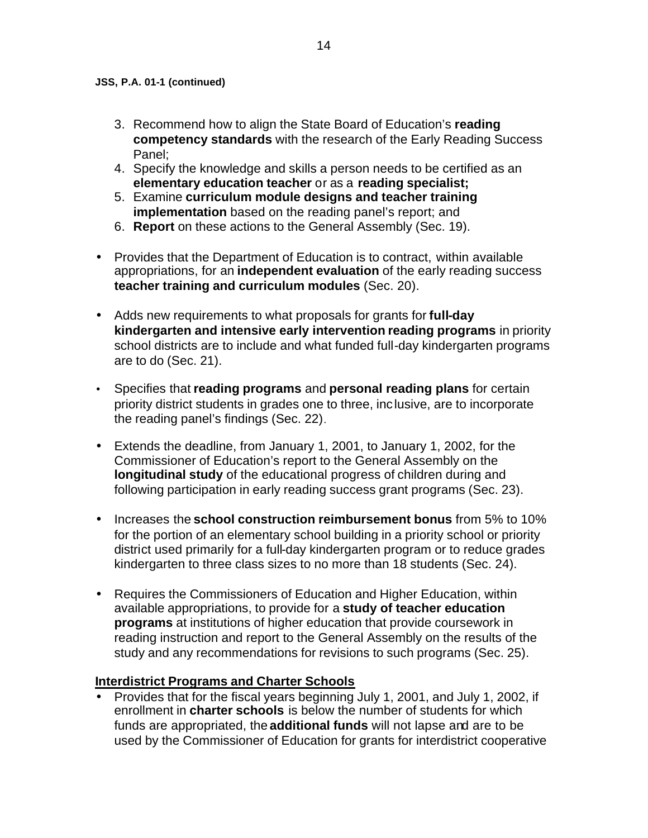- 3. Recommend how to align the State Board of Education's **reading competency standards** with the research of the Early Reading Success Panel;
- 4. Specify the knowledge and skills a person needs to be certified as an **elementary education teacher** or as a **reading specialist;**
- 5. Examine **curriculum module designs and teacher training implementation** based on the reading panel's report; and
- 6. **Report** on these actions to the General Assembly (Sec. 19).
- Provides that the Department of Education is to contract, within available appropriations, for an **independent evaluation** of the early reading success **teacher training and curriculum modules** (Sec. 20).
- Adds new requirements to what proposals for grants for **full-day kindergarten and intensive early intervention reading programs** in priority school districts are to include and what funded full-day kindergarten programs are to do (Sec. 21).
- Specifies that **reading programs** and **personal reading plans** for certain priority district students in grades one to three, inc lusive, are to incorporate the reading panel's findings (Sec. 22).
- Extends the deadline, from January 1, 2001, to January 1, 2002, for the Commissioner of Education's report to the General Assembly on the **longitudinal study** of the educational progress of children during and following participation in early reading success grant programs (Sec. 23).
- Increases the **school construction reimbursement bonus** from 5% to 10% for the portion of an elementary school building in a priority school or priority district used primarily for a full-day kindergarten program or to reduce grades kindergarten to three class sizes to no more than 18 students (Sec. 24).
- Requires the Commissioners of Education and Higher Education, within available appropriations, to provide for a **study of teacher education programs** at institutions of higher education that provide coursework in reading instruction and report to the General Assembly on the results of the study and any recommendations for revisions to such programs (Sec. 25).

#### **Interdistrict Programs and Charter Schools**

• Provides that for the fiscal years beginning July 1, 2001, and July 1, 2002, if enrollment in **charter schools** is below the number of students for which funds are appropriated, the **additional funds** will not lapse and are to be used by the Commissioner of Education for grants for interdistrict cooperative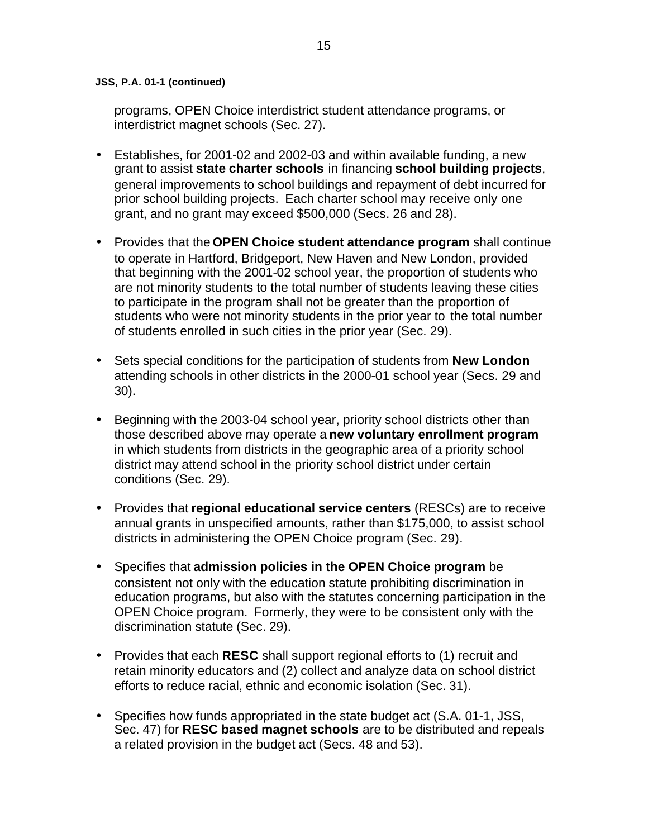programs, OPEN Choice interdistrict student attendance programs, or interdistrict magnet schools (Sec. 27).

- Establishes, for 2001-02 and 2002-03 and within available funding, a new grant to assist **state charter schools** in financing **school building projects**, general improvements to school buildings and repayment of debt incurred for prior school building projects. Each charter school may receive only one grant, and no grant may exceed \$500,000 (Secs. 26 and 28).
- Provides that the **OPEN Choice student attendance program** shall continue to operate in Hartford, Bridgeport, New Haven and New London, provided that beginning with the 2001-02 school year, the proportion of students who are not minority students to the total number of students leaving these cities to participate in the program shall not be greater than the proportion of students who were not minority students in the prior year to the total number of students enrolled in such cities in the prior year (Sec. 29).
- Sets special conditions for the participation of students from **New London**  attending schools in other districts in the 2000-01 school year (Secs. 29 and 30).
- Beginning with the 2003-04 school year, priority school districts other than those described above may operate a **new voluntary enrollment program**  in which students from districts in the geographic area of a priority school district may attend school in the priority school district under certain conditions (Sec. 29).
- Provides that **regional educational service centers** (RESCs) are to receive annual grants in unspecified amounts, rather than \$175,000, to assist school districts in administering the OPEN Choice program (Sec. 29).
- Specifies that **admission policies in the OPEN Choice program** be consistent not only with the education statute prohibiting discrimination in education programs, but also with the statutes concerning participation in the OPEN Choice program. Formerly, they were to be consistent only with the discrimination statute (Sec. 29).
- Provides that each **RESC** shall support regional efforts to (1) recruit and retain minority educators and (2) collect and analyze data on school district efforts to reduce racial, ethnic and economic isolation (Sec. 31).
- Specifies how funds appropriated in the state budget act (S.A. 01-1, JSS, Sec. 47) for **RESC based magnet schools** are to be distributed and repeals a related provision in the budget act (Secs. 48 and 53).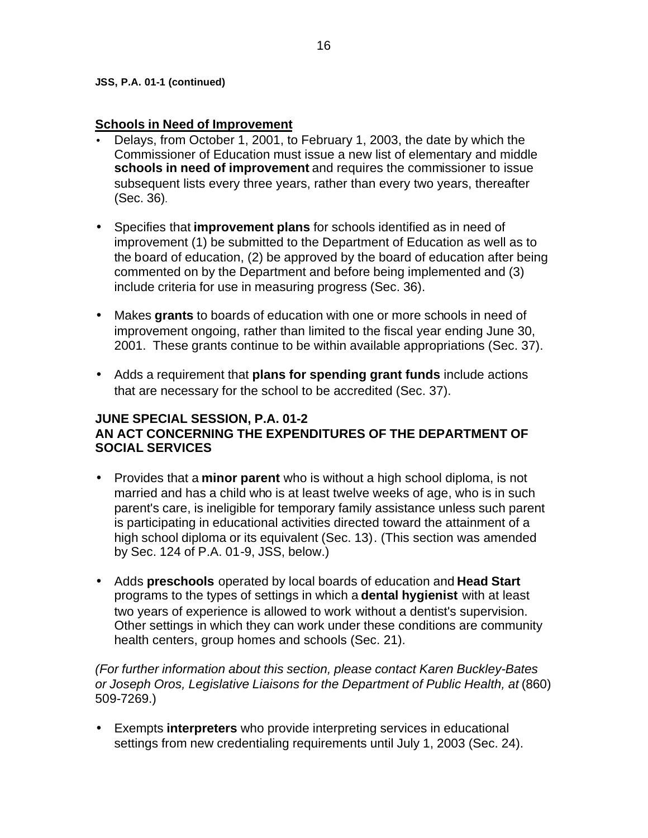#### **Schools in Need of Improvement**

- Delays, from October 1, 2001, to February 1, 2003, the date by which the Commissioner of Education must issue a new list of elementary and middle **schools in need of improvement** and requires the commissioner to issue subsequent lists every three years, rather than every two years, thereafter (Sec. 36).
- Specifies that **improvement plans** for schools identified as in need of improvement (1) be submitted to the Department of Education as well as to the board of education, (2) be approved by the board of education after being commented on by the Department and before being implemented and (3) include criteria for use in measuring progress (Sec. 36).
- Makes **grants** to boards of education with one or more schools in need of improvement ongoing, rather than limited to the fiscal year ending June 30, 2001. These grants continue to be within available appropriations (Sec. 37).
- Adds a requirement that **plans for spending grant funds** include actions that are necessary for the school to be accredited (Sec. 37).

#### **JUNE SPECIAL SESSION, P.A. 01-2 AN ACT CONCERNING THE EXPENDITURES OF THE DEPARTMENT OF SOCIAL SERVICES**

- Provides that a **minor parent** who is without a high school diploma, is not married and has a child who is at least twelve weeks of age, who is in such parent's care, is ineligible for temporary family assistance unless such parent is participating in educational activities directed toward the attainment of a high school diploma or its equivalent (Sec. 13). (This section was amended by Sec. 124 of P.A. 01-9, JSS, below.)
- Adds **preschools** operated by local boards of education and **Head Start**  programs to the types of settings in which a **dental hygienist** with at least two years of experience is allowed to work without a dentist's supervision. Other settings in which they can work under these conditions are community health centers, group homes and schools (Sec. 21).

*(For further information about this section, please contact Karen Buckley-Bates or Joseph Oros, Legislative Liaisons for the Department of Public Health, at* (860) 509-7269.)

• Exempts **interpreters** who provide interpreting services in educational settings from new credentialing requirements until July 1, 2003 (Sec. 24).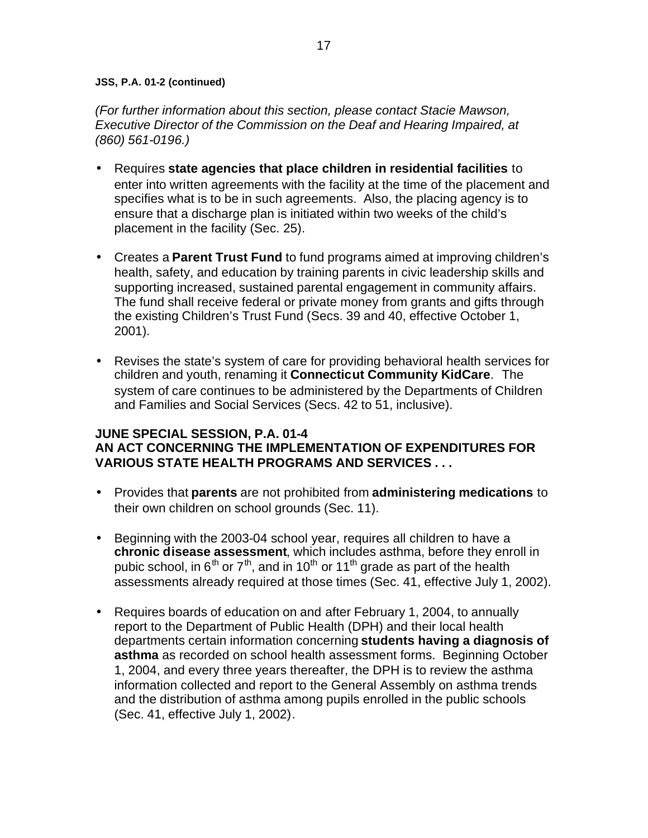*(For further information about this section, please contact Stacie Mawson, Executive Director of the Commission on the Deaf and Hearing Impaired, at (860) 561-0196.)* 

- Requires **state agencies that place children in residential facilities** to enter into written agreements with the facility at the time of the placement and specifies what is to be in such agreements. Also, the placing agency is to ensure that a discharge plan is initiated within two weeks of the child's placement in the facility (Sec. 25).
- Creates a **Parent Trust Fund** to fund programs aimed at improving children's health, safety, and education by training parents in civic leadership skills and supporting increased, sustained parental engagement in community affairs. The fund shall receive federal or private money from grants and gifts through the existing Children's Trust Fund (Secs. 39 and 40, effective October 1, 2001).
- Revises the state's system of care for providing behavioral health services for children and youth, renaming it **Connecticut Community KidCare**. The system of care continues to be administered by the Departments of Children and Families and Social Services (Secs. 42 to 51, inclusive).

#### **JUNE SPECIAL SESSION, P.A. 01-4 AN ACT CONCERNING THE IMPLEMENTATION OF EXPENDITURES FOR VARIOUS STATE HEALTH PROGRAMS AND SERVICES . . .**

- Provides that **parents** are not prohibited from **administering medications** to their own children on school grounds (Sec. 11).
- Beginning with the 2003-04 school year, requires all children to have a **chronic disease assessment**, which includes asthma, before they enroll in pubic school, in  $6<sup>th</sup>$  or  $7<sup>th</sup>$ , and in 10<sup>th</sup> or 11<sup>th</sup> grade as part of the health assessments already required at those times (Sec. 41, effective July 1, 2002).
- Requires boards of education on and after February 1, 2004, to annually report to the Department of Public Health (DPH) and their local health departments certain information concerning **students having a diagnosis of asthma** as recorded on school health assessment forms. Beginning October 1, 2004, and every three years thereafter, the DPH is to review the asthma information collected and report to the General Assembly on asthma trends and the distribution of asthma among pupils enrolled in the public schools (Sec. 41, effective July 1, 2002).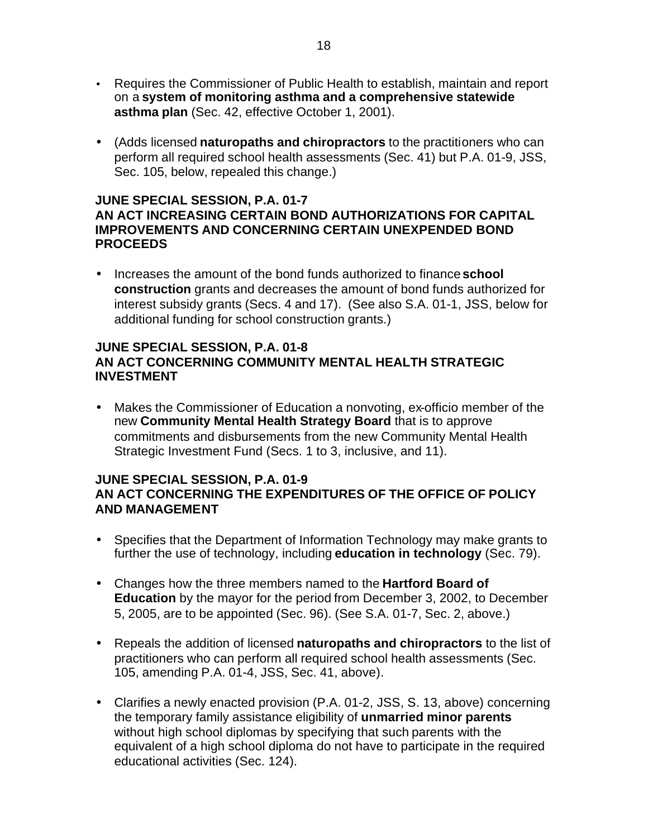- Requires the Commissioner of Public Health to establish, maintain and report on a **system of monitoring asthma and a comprehensive statewide asthma plan** (Sec. 42, effective October 1, 2001).
- (Adds licensed **naturopaths and chiropractors** to the practitioners who can perform all required school health assessments (Sec. 41) but P.A. 01-9, JSS, Sec. 105, below, repealed this change.)

# **JUNE SPECIAL SESSION, P.A. 01-7**

#### **AN ACT INCREASING CERTAIN BOND AUTHORIZATIONS FOR CAPITAL IMPROVEMENTS AND CONCERNING CERTAIN UNEXPENDED BOND PROCEEDS**

• Increases the amount of the bond funds authorized to finance **school construction** grants and decreases the amount of bond funds authorized for interest subsidy grants (Secs. 4 and 17). (See also S.A. 01-1, JSS, below for additional funding for school construction grants.)

## **JUNE SPECIAL SESSION, P.A. 01-8 AN ACT CONCERNING COMMUNITY MENTAL HEALTH STRATEGIC INVESTMENT**

• Makes the Commissioner of Education a nonvoting, ex-officio member of the new **Community Mental Health Strategy Board** that is to approve commitments and disbursements from the new Community Mental Health Strategic Investment Fund (Secs. 1 to 3, inclusive, and 11).

#### **JUNE SPECIAL SESSION, P.A. 01-9 AN ACT CONCERNING THE EXPENDITURES OF THE OFFICE OF POLICY AND MANAGEMENT**

- Specifies that the Department of Information Technology may make grants to further the use of technology, including **education in technology** (Sec. 79).
- Changes how the three members named to the **Hartford Board of Education** by the mayor for the period from December 3, 2002, to December 5, 2005, are to be appointed (Sec. 96). (See S.A. 01-7, Sec. 2, above.)
- Repeals the addition of licensed **naturopaths and chiropractors** to the list of practitioners who can perform all required school health assessments (Sec. 105, amending P.A. 01-4, JSS, Sec. 41, above).
- Clarifies a newly enacted provision (P.A. 01-2, JSS, S. 13, above) concerning the temporary family assistance eligibility of **unmarried minor parents**  without high school diplomas by specifying that such parents with the equivalent of a high school diploma do not have to participate in the required educational activities (Sec. 124).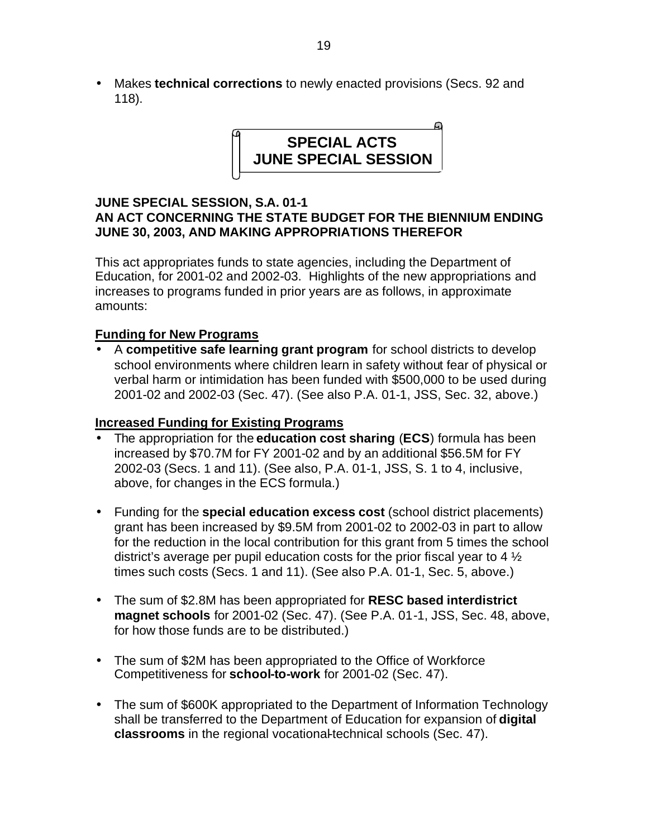• Makes **technical corrections** to newly enacted provisions (Secs. 92 and 118).



## **JUNE SPECIAL SESSION, S.A. 01-1 AN ACT CONCERNING THE STATE BUDGET FOR THE BIENNIUM ENDING JUNE 30, 2003, AND MAKING APPROPRIATIONS THEREFOR**

This act appropriates funds to state agencies, including the Department of Education, for 2001-02 and 2002-03. Highlights of the new appropriations and increases to programs funded in prior years are as follows, in approximate amounts:

## **Funding for New Programs**

• A **competitive safe learning grant program** for school districts to develop school environments where children learn in safety without fear of physical or verbal harm or intimidation has been funded with \$500,000 to be used during 2001-02 and 2002-03 (Sec. 47). (See also P.A. 01-1, JSS, Sec. 32, above.)

## **Increased Funding for Existing Programs**

- The appropriation for the **education cost sharing** (**ECS**) formula has been increased by \$70.7M for FY 2001-02 and by an additional \$56.5M for FY 2002-03 (Secs. 1 and 11). (See also, P.A. 01-1, JSS, S. 1 to 4, inclusive, above, for changes in the ECS formula.)
- Funding for the **special education excess cost** (school district placements) grant has been increased by \$9.5M from 2001-02 to 2002-03 in part to allow for the reduction in the local contribution for this grant from 5 times the school district's average per pupil education costs for the prior fiscal year to 4  $\frac{1}{2}$ times such costs (Secs. 1 and 11). (See also P.A. 01-1, Sec. 5, above.)
- The sum of \$2.8M has been appropriated for **RESC based interdistrict magnet schools** for 2001-02 (Sec. 47). (See P.A. 01-1, JSS, Sec. 48, above, for how those funds are to be distributed.)
- The sum of \$2M has been appropriated to the Office of Workforce Competitiveness for **school-to-work** for 2001-02 (Sec. 47).
- The sum of \$600K appropriated to the Department of Information Technology shall be transferred to the Department of Education for expansion of **digital classrooms** in the regional vocational-technical schools (Sec. 47).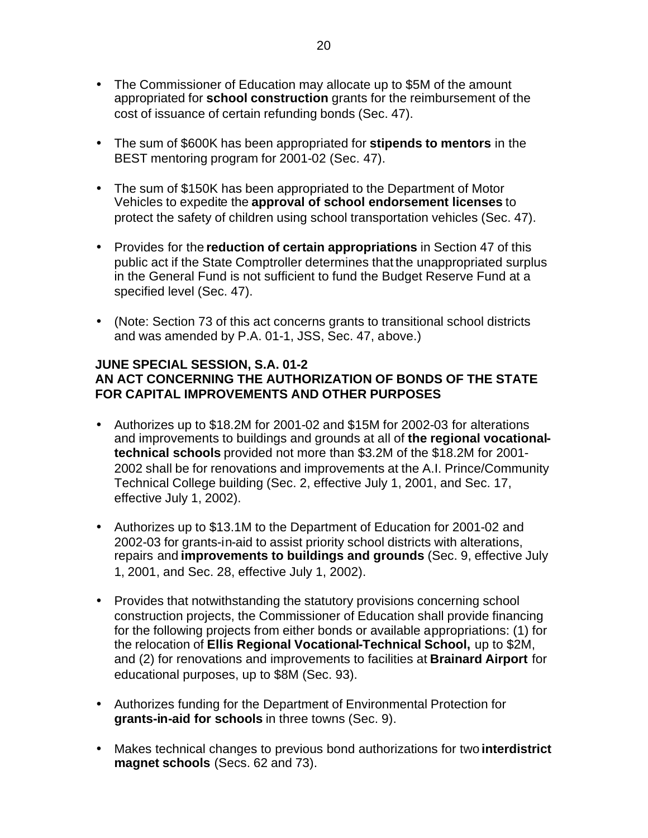- The Commissioner of Education may allocate up to \$5M of the amount appropriated for **school construction** grants for the reimbursement of the cost of issuance of certain refunding bonds (Sec. 47).
- The sum of \$600K has been appropriated for **stipends to mentors** in the BEST mentoring program for 2001-02 (Sec. 47).
- The sum of \$150K has been appropriated to the Department of Motor Vehicles to expedite the **approval of school endorsement licenses** to protect the safety of children using school transportation vehicles (Sec. 47).
- Provides for the **reduction of certain appropriations** in Section 47 of this public act if the State Comptroller determines that the unappropriated surplus in the General Fund is not sufficient to fund the Budget Reserve Fund at a specified level (Sec. 47).
- (Note: Section 73 of this act concerns grants to transitional school districts and was amended by P.A. 01-1, JSS, Sec. 47, above.)

## **JUNE SPECIAL SESSION, S.A. 01-2 AN ACT CONCERNING THE AUTHORIZATION OF BONDS OF THE STATE FOR CAPITAL IMPROVEMENTS AND OTHER PURPOSES**

- Authorizes up to \$18.2M for 2001-02 and \$15M for 2002-03 for alterations and improvements to buildings and grounds at all of **the regional vocationaltechnical schools** provided not more than \$3.2M of the \$18.2M for 2001- 2002 shall be for renovations and improvements at the A.I. Prince/Community Technical College building (Sec. 2, effective July 1, 2001, and Sec. 17, effective July 1, 2002).
- Authorizes up to \$13.1M to the Department of Education for 2001-02 and 2002-03 for grants-in-aid to assist priority school districts with alterations, repairs and **improvements to buildings and grounds** (Sec. 9, effective July 1, 2001, and Sec. 28, effective July 1, 2002).
- Provides that notwithstanding the statutory provisions concerning school construction projects, the Commissioner of Education shall provide financing for the following projects from either bonds or available appropriations: (1) for the relocation of **Ellis Regional Vocational-Technical School,** up to \$2M, and (2) for renovations and improvements to facilities at **Brainard Airport** for educational purposes, up to \$8M (Sec. 93).
- Authorizes funding for the Department of Environmental Protection for **grants-in-aid for schools** in three towns (Sec. 9).
- Makes technical changes to previous bond authorizations for two **interdistrict magnet schools** (Secs. 62 and 73).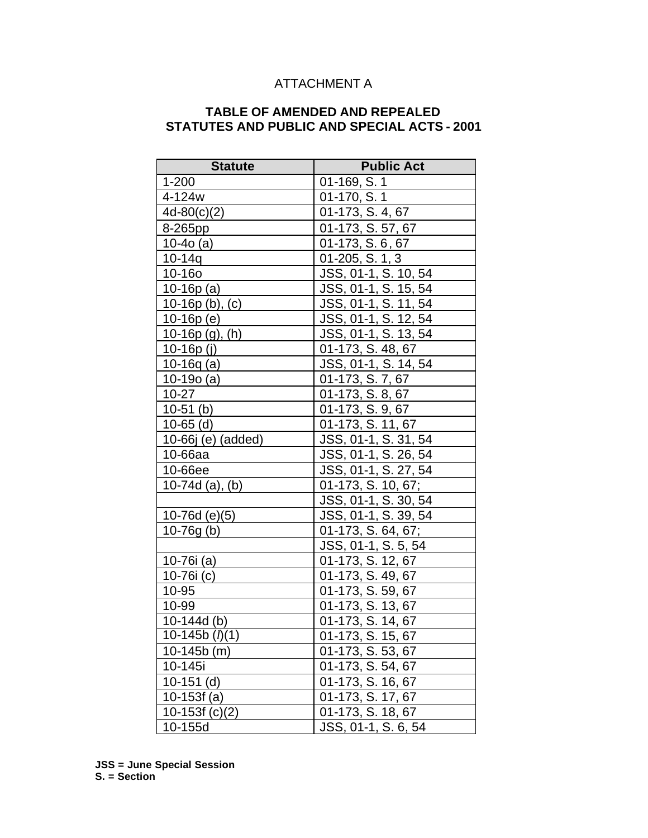## ATTACHMENT A

## **TABLE OF AMENDED AND REPEALED STATUTES AND PUBLIC AND SPECIAL ACTS - 2001**

| <b>Statute</b>            | <b>Public Act</b>               |
|---------------------------|---------------------------------|
| $1 - 200$                 | 01-169, S. 1                    |
| 4-124w                    | 01-170, S. 1                    |
| $4d-80(c)(2)$             | 01-173, S. 4, 67                |
| 8-265pp                   | $\overline{01-1}$ 73, S. 57, 67 |
| $10-40$ (a)               | 01-173, S. 6, 67                |
| $10 - 14q$                | 01-205, S. 1, 3                 |
| 10-16o                    | JSS, 01-1, S. 10, 54            |
| 10-16 $p(a)$              | JSS, 01-1, S. 15, 54            |
| $10-16p (b), (c)$         | JSS, 01-1, S. 11, 54            |
| $10-16p(e)$               | JSS, 01-1, S. 12, 54            |
| $10-16p$ (g), (h)         | JSS, 01-1, S. 13, 54            |
| $10 - 16p(j)$             | 01-173, S. 48, 67               |
| $10-16q(a)$               | JSS, 01-1, S. 14, 54            |
| $10-190$ (a)              | 01-173, S. 7, 67                |
| $10 - 27$                 | 01-173, S. 8, 67                |
| $10-51$ (b)               | 01-173, S. 9, 67                |
| $10-65$ (d)               | 01-173, S. 11, 67               |
| 10-66j (e) (added)        | JSS, 01-1, S. 31, 54            |
| 10-66aa                   | JSS, 01-1, S. 26, 54            |
| 10-66ee                   | JSS, 01-1, S. 27, 54            |
| $10-74d$ (a), (b)         | 01-173, S. 10, 67;              |
|                           | JSS, 01-1, S. 30, 54            |
| $10-76d (e)(5)$           | JSS, 01-1, S. 39, 54            |
| $10-76g(b)$               | 01-173, S. 64, 67;              |
|                           | JSS, 01-1, S. 5, 54             |
| 10-76 $i$ (a)             | 01-173, S. 12, 67               |
| 10-76i (c)                | 01-173, S. 49, 67               |
| 10-95                     | 01-173, S. 59, 67               |
| 10-99                     | 01-173, S. 13, 67               |
| $10-144d$ (b)             | 01-173, S. 14, 67               |
| $10-145b$ ( <i>l</i> )(1) | 01-173, S. 15, 67               |
| 10-145b (m)               | 01-173, S. 53, 67               |
| 10-145i                   | 01-173, S. 54, 67               |
| $10-151$ (d)              | 01-173, S. 16, 67               |
| $10-153f(a)$              | 01-173, S. 17, 67               |
| 10-153 $f(c)(2)$          | 01-173, S. 18, 67               |
| 10-155d                   | JSS, 01-1, S. 6, 54             |

**JSS = June Special Session S. = Section**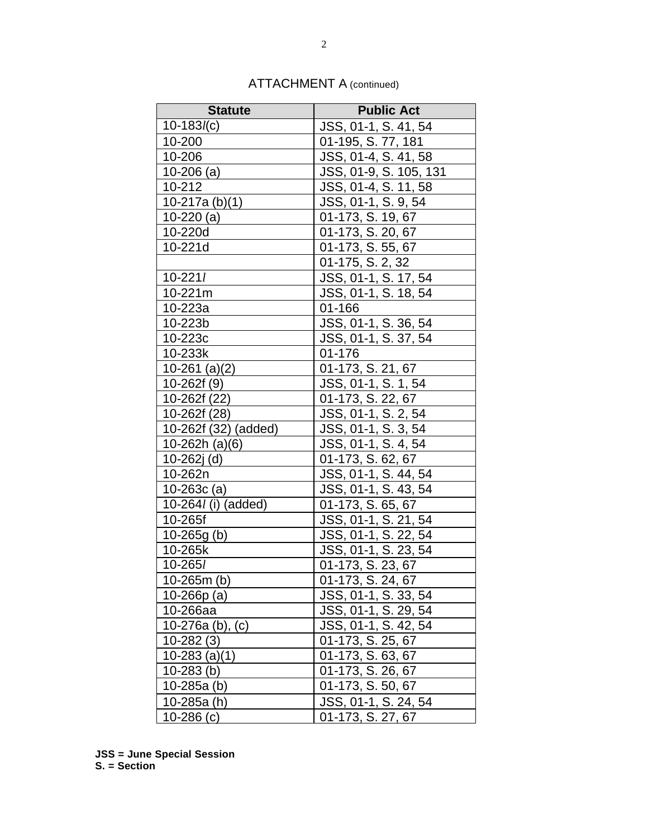| <b>Statute</b>        | <b>Public Act</b>                 |
|-----------------------|-----------------------------------|
| $10-183l(c)$          | JSS, 01-1, S. 41, 54              |
| 10-200                | 01-195, S. 77, 181                |
| 10-206                | $\overline{JSS, 01-4}, S. 41, 58$ |
| $10-206$ (a)          | JSS, 01-9, S. 105, 131            |
| 10-212                | JSS, 01-4, S. 11, 58              |
| 10-217a $(b)(1)$      | JSS, 01-1, S. 9, 54               |
| 10-220 $(a)$          | 01-173, S. 19, 67                 |
| 10-220d               | 01-173, S. 20, 67                 |
| 10-221d               | 01-173, S. 55, 67                 |
|                       | 01-175, S. 2, 32                  |
| $10 - 221l$           | JSS, 01-1, S. 17, 54              |
| 10-221m               | JSS, 01-1, S. 18, 54              |
| 10-223a               | 01-166                            |
| 10-223b               | JSS, 01-1, S. 36, 54              |
| 10-223c               | JSS, 01-1, S. 37, 54              |
| 10-233k               | 01-176                            |
| 10-261 $(a)(2)$       | 01-173, S. 21, 67                 |
| 10-262f (9)           | JSS, 01-1, S. 1, 54               |
| 10-262f (22)          | 01-173, S. 22, 67                 |
| 10-262f (28)          | JSS, 01-1, S. 2, 54               |
| 10-262f (32) (added)  | JSS, 01-1, S. 3, 54               |
| 10-262h (a)(6)        | JSS, 01-1, S. 4, 54               |
| $10-262j$ (d)         | 01-173, S. 62, 67                 |
| 10-262n               | JSS, 01-1, S. 44, 54              |
| $10-263c$ (a)         | JSS, 01-1, S. 43, 54              |
| 10-264l (i) (added)   | $\overline{01}$ -173, S. 65, 67   |
| 10-265f               | JSS, 01-1, S. 21, 54              |
| $10-265g(b)$          | JSS, 01-1, S. 22, 54              |
| 10-265k               | <u>JSS, 01-1, S. 23, 54</u>       |
| 10-265/               | 01-173, S. 23, 67                 |
| 10-265m (b)           | 01-173, S. 24, 67                 |
| 10-266 $p(a)$         | JSS, 01-1, S. 33, 54              |
| 10-266aa              | JSS, 01-1, S. 29, 54              |
| 10-276a $(b)$ , $(c)$ | JSS, 01-1, S. 42, 54              |
| $10 - 282(3)$         | 01-173, S. 25, 67                 |
| $10-283$ (a)(1)       | 01-173, S. 63, 67                 |
| $10-283$ (b)          | 01-173, S. 26, 67                 |
| 10-285a (b)           | 01-173, S. 50, 67                 |
| 10-285a (h)           | JSS, 01-1, S. 24, 54              |
| $10 - 286$ (c)        | 01-173, S. 27, 67                 |

## ATTACHMENT A (continued)

**JSS = June Special Session S. = Section**